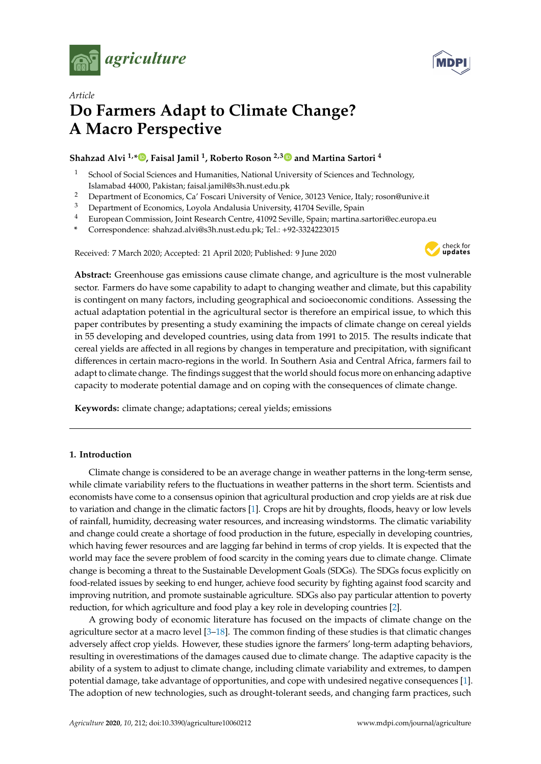



# *Article* **Do Farmers Adapt to Climate Change? A Macro Perspective**

## **Shahzad Alvi 1,\* [,](https://orcid.org/0000-0002-1565-2517) Faisal Jamil <sup>1</sup> , Roberto Roson 2,[3](https://orcid.org/0000-0003-2110-5883) and Martina Sartori <sup>4</sup>**

- <sup>1</sup> School of Social Sciences and Humanities, National University of Sciences and Technology, Islamabad 44000, Pakistan; faisal.jamil@s3h.nust.edu.pk
- <sup>2</sup> Department of Economics, Ca' Foscari University of Venice, 30123 Venice, Italy; roson@unive.it<br><sup>3</sup> Department of Economics, Lovela Andalysia University, 41704 Saville, Spain
- Department of Economics, Loyola Andalusia University, 41704 Seville, Spain
- <sup>4</sup> European Commission, Joint Research Centre, 41092 Seville, Spain; martina.sartori@ec.europa.eu
- **\*** Correspondence: shahzad.alvi@s3h.nust.edu.pk; Tel.: +92-3324223015

Received: 7 March 2020; Accepted: 21 April 2020; Published: 9 June 2020



**Abstract:** Greenhouse gas emissions cause climate change, and agriculture is the most vulnerable sector. Farmers do have some capability to adapt to changing weather and climate, but this capability is contingent on many factors, including geographical and socioeconomic conditions. Assessing the actual adaptation potential in the agricultural sector is therefore an empirical issue, to which this paper contributes by presenting a study examining the impacts of climate change on cereal yields in 55 developing and developed countries, using data from 1991 to 2015. The results indicate that cereal yields are affected in all regions by changes in temperature and precipitation, with significant differences in certain macro-regions in the world. In Southern Asia and Central Africa, farmers fail to adapt to climate change. The findings suggest that the world should focus more on enhancing adaptive capacity to moderate potential damage and on coping with the consequences of climate change.

**Keywords:** climate change; adaptations; cereal yields; emissions

## **1. Introduction**

Climate change is considered to be an average change in weather patterns in the long-term sense, while climate variability refers to the fluctuations in weather patterns in the short term. Scientists and economists have come to a consensus opinion that agricultural production and crop yields are at risk due to variation and change in the climatic factors [\[1\]](#page-8-0). Crops are hit by droughts, floods, heavy or low levels of rainfall, humidity, decreasing water resources, and increasing windstorms. The climatic variability and change could create a shortage of food production in the future, especially in developing countries, which having fewer resources and are lagging far behind in terms of crop yields. It is expected that the world may face the severe problem of food scarcity in the coming years due to climate change. Climate change is becoming a threat to the Sustainable Development Goals (SDGs). The SDGs focus explicitly on food-related issues by seeking to end hunger, achieve food security by fighting against food scarcity and improving nutrition, and promote sustainable agriculture. SDGs also pay particular attention to poverty reduction, for which agriculture and food play a key role in developing countries [\[2\]](#page-8-1).

A growing body of economic literature has focused on the impacts of climate change on the agriculture sector at a macro level [\[3–](#page-8-2)[18\]](#page-9-0). The common finding of these studies is that climatic changes adversely affect crop yields. However, these studies ignore the farmers' long-term adapting behaviors, resulting in overestimations of the damages caused due to climate change. The adaptive capacity is the ability of a system to adjust to climate change, including climate variability and extremes, to dampen potential damage, take advantage of opportunities, and cope with undesired negative consequences [\[1\]](#page-8-0). The adoption of new technologies, such as drought-tolerant seeds, and changing farm practices, such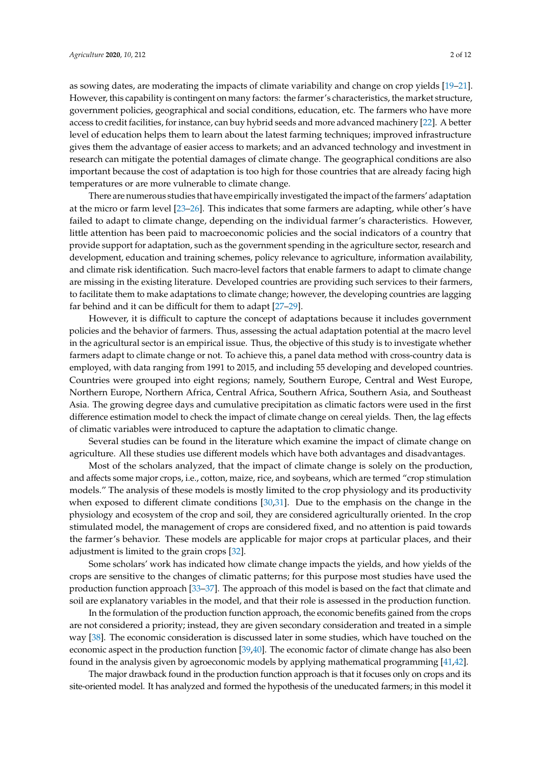as sowing dates, are moderating the impacts of climate variability and change on crop yields [\[19–](#page-9-1)[21\]](#page-9-2). However, this capability is contingent on many factors: the farmer's characteristics, the market structure, government policies, geographical and social conditions, education, etc. The farmers who have more access to credit facilities, for instance, can buy hybrid seeds and more advanced machinery [\[22\]](#page-9-3). A better level of education helps them to learn about the latest farming techniques; improved infrastructure gives them the advantage of easier access to markets; and an advanced technology and investment in research can mitigate the potential damages of climate change. The geographical conditions are also important because the cost of adaptation is too high for those countries that are already facing high temperatures or are more vulnerable to climate change.

There are numerous studies that have empirically investigated the impact of the farmers' adaptation at the micro or farm level [\[23](#page-9-4)[–26\]](#page-9-5). This indicates that some farmers are adapting, while other's have failed to adapt to climate change, depending on the individual farmer's characteristics. However, little attention has been paid to macroeconomic policies and the social indicators of a country that provide support for adaptation, such as the government spending in the agriculture sector, research and development, education and training schemes, policy relevance to agriculture, information availability, and climate risk identification. Such macro-level factors that enable farmers to adapt to climate change are missing in the existing literature. Developed countries are providing such services to their farmers, to facilitate them to make adaptations to climate change; however, the developing countries are lagging far behind and it can be difficult for them to adapt [\[27–](#page-9-6)[29\]](#page-9-7).

However, it is difficult to capture the concept of adaptations because it includes government policies and the behavior of farmers. Thus, assessing the actual adaptation potential at the macro level in the agricultural sector is an empirical issue. Thus, the objective of this study is to investigate whether farmers adapt to climate change or not. To achieve this, a panel data method with cross-country data is employed, with data ranging from 1991 to 2015, and including 55 developing and developed countries. Countries were grouped into eight regions; namely, Southern Europe, Central and West Europe, Northern Europe, Northern Africa, Central Africa, Southern Africa, Southern Asia, and Southeast Asia. The growing degree days and cumulative precipitation as climatic factors were used in the first difference estimation model to check the impact of climate change on cereal yields. Then, the lag effects of climatic variables were introduced to capture the adaptation to climatic change.

Several studies can be found in the literature which examine the impact of climate change on agriculture. All these studies use different models which have both advantages and disadvantages.

Most of the scholars analyzed, that the impact of climate change is solely on the production, and affects some major crops, i.e., cotton, maize, rice, and soybeans, which are termed "crop stimulation models." The analysis of these models is mostly limited to the crop physiology and its productivity when exposed to different climate conditions [\[30,](#page-9-8)[31\]](#page-9-9). Due to the emphasis on the change in the physiology and ecosystem of the crop and soil, they are considered agriculturally oriented. In the crop stimulated model, the management of crops are considered fixed, and no attention is paid towards the farmer's behavior. These models are applicable for major crops at particular places, and their adjustment is limited to the grain crops [\[32\]](#page-9-10).

Some scholars' work has indicated how climate change impacts the yields, and how yields of the crops are sensitive to the changes of climatic patterns; for this purpose most studies have used the production function approach [\[33](#page-9-11)[–37\]](#page-10-0). The approach of this model is based on the fact that climate and soil are explanatory variables in the model, and that their role is assessed in the production function.

In the formulation of the production function approach, the economic benefits gained from the crops are not considered a priority; instead, they are given secondary consideration and treated in a simple way [\[38\]](#page-10-1). The economic consideration is discussed later in some studies, which have touched on the economic aspect in the production function [\[39](#page-10-2)[,40\]](#page-10-3). The economic factor of climate change has also been found in the analysis given by agroeconomic models by applying mathematical programming [\[41](#page-10-4)[,42\]](#page-10-5).

The major drawback found in the production function approach is that it focuses only on crops and its site-oriented model. It has analyzed and formed the hypothesis of the uneducated farmers; in this model it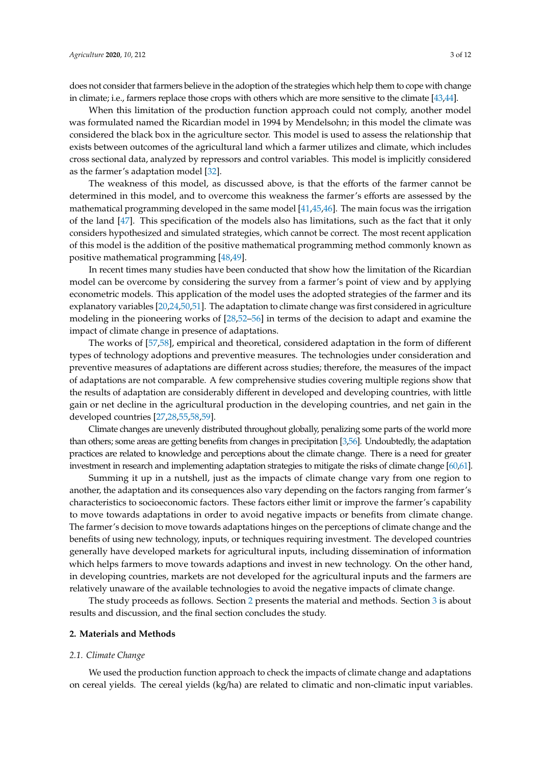does not consider that farmers believe in the adoption of the strategies which help them to cope with change in climate; i.e., farmers replace those crops with others which are more sensitive to the climate [\[43](#page-10-6)[,44\]](#page-10-7).

When this limitation of the production function approach could not comply, another model was formulated named the Ricardian model in 1994 by Mendelsohn; in this model the climate was considered the black box in the agriculture sector. This model is used to assess the relationship that exists between outcomes of the agricultural land which a farmer utilizes and climate, which includes cross sectional data, analyzed by repressors and control variables. This model is implicitly considered as the farmer's adaptation model [\[32\]](#page-9-10).

The weakness of this model, as discussed above, is that the efforts of the farmer cannot be determined in this model, and to overcome this weakness the farmer's efforts are assessed by the mathematical programming developed in the same model [\[41,](#page-10-4)[45,](#page-10-8)[46\]](#page-10-9). The main focus was the irrigation of the land [\[47\]](#page-10-10). This specification of the models also has limitations, such as the fact that it only considers hypothesized and simulated strategies, which cannot be correct. The most recent application of this model is the addition of the positive mathematical programming method commonly known as positive mathematical programming [\[48](#page-10-11)[,49\]](#page-10-12).

In recent times many studies have been conducted that show how the limitation of the Ricardian model can be overcome by considering the survey from a farmer's point of view and by applying econometric models. This application of the model uses the adopted strategies of the farmer and its explanatory variables [\[20,](#page-9-12)[24,](#page-9-13)[50,](#page-10-13)[51\]](#page-10-14). The adaptation to climate change was first considered in agriculture modeling in the pioneering works of [\[28,](#page-9-14)[52](#page-10-15)[–56\]](#page-10-16) in terms of the decision to adapt and examine the impact of climate change in presence of adaptations.

The works of [\[57](#page-10-17)[,58\]](#page-10-18), empirical and theoretical, considered adaptation in the form of different types of technology adoptions and preventive measures. The technologies under consideration and preventive measures of adaptations are different across studies; therefore, the measures of the impact of adaptations are not comparable. A few comprehensive studies covering multiple regions show that the results of adaptation are considerably different in developed and developing countries, with little gain or net decline in the agricultural production in the developing countries, and net gain in the developed countries [\[27](#page-9-6)[,28](#page-9-14)[,55](#page-10-19)[,58](#page-10-18)[,59\]](#page-10-20).

Climate changes are unevenly distributed throughout globally, penalizing some parts of the world more than others; some areas are getting benefits from changes in precipitation [\[3,](#page-8-2)[56\]](#page-10-16). Undoubtedly, the adaptation practices are related to knowledge and perceptions about the climate change. There is a need for greater investment in research and implementing adaptation strategies to mitigate the risks of climate change [\[60,](#page-11-0)[61\]](#page-11-1).

Summing it up in a nutshell, just as the impacts of climate change vary from one region to another, the adaptation and its consequences also vary depending on the factors ranging from farmer's characteristics to socioeconomic factors. These factors either limit or improve the farmer's capability to move towards adaptations in order to avoid negative impacts or benefits from climate change. The farmer's decision to move towards adaptations hinges on the perceptions of climate change and the benefits of using new technology, inputs, or techniques requiring investment. The developed countries generally have developed markets for agricultural inputs, including dissemination of information which helps farmers to move towards adaptions and invest in new technology. On the other hand, in developing countries, markets are not developed for the agricultural inputs and the farmers are relatively unaware of the available technologies to avoid the negative impacts of climate change.

The study proceeds as follows. Section [2](#page-2-0) presents the material and methods. Section [3](#page-4-0) is about results and discussion, and the final section concludes the study.

#### <span id="page-2-0"></span>**2. Materials and Methods**

## *2.1. Climate Change*

We used the production function approach to check the impacts of climate change and adaptations on cereal yields. The cereal yields (kg/ha) are related to climatic and non-climatic input variables.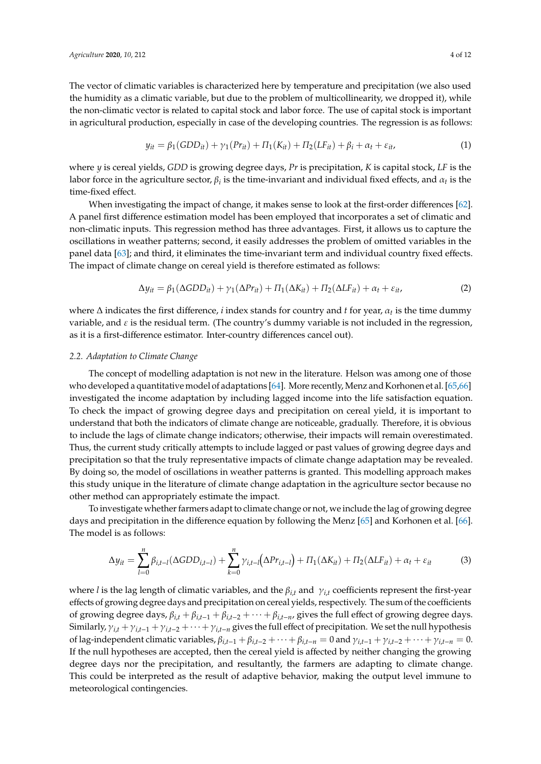The vector of climatic variables is characterized here by temperature and precipitation (we also used the humidity as a climatic variable, but due to the problem of multicollinearity, we dropped it), while the non-climatic vector is related to capital stock and labor force. The use of capital stock is important in agricultural production, especially in case of the developing countries. The regression is as follows:

$$
y_{it} = \beta_1 (GDD_{it}) + \gamma_1 (Pr_{it}) + \Pi_1 (K_{it}) + \Pi_2 (LF_{it}) + \beta_i + \alpha_t + \varepsilon_{it}, \tag{1}
$$

where *y* is cereal yields, *GDD* is growing degree days, *Pr* is precipitation, *K* is capital stock, *LF* is the labor force in the agriculture sector,  $\beta_i$  is the time-invariant and individual fixed effects, and  $\alpha_t$  is the time-fixed effect.

When investigating the impact of change, it makes sense to look at the first-order differences [\[62\]](#page-11-2). A panel first difference estimation model has been employed that incorporates a set of climatic and non-climatic inputs. This regression method has three advantages. First, it allows us to capture the oscillations in weather patterns; second, it easily addresses the problem of omitted variables in the panel data [\[63\]](#page-11-3); and third, it eliminates the time-invariant term and individual country fixed effects. The impact of climate change on cereal yield is therefore estimated as follows:

$$
\Delta y_{it} = \beta_1 (\Delta GDD_{it}) + \gamma_1 (\Delta Pr_{it}) + \Pi_1 (\Delta K_{it}) + \Pi_2 (\Delta LF_{it}) + \alpha_t + \varepsilon_{it}, \tag{2}
$$

where ∆ indicates the first difference, *i* index stands for country and *t* for year, α*<sup>t</sup>* is the time dummy variable, and  $\varepsilon$  is the residual term. (The country's dummy variable is not included in the regression, as it is a first-difference estimator. Inter-country differences cancel out).

#### *2.2. Adaptation to Climate Change*

The concept of modelling adaptation is not new in the literature. Helson was among one of those who developed a quantitative model of adaptations [\[64\]](#page-11-4). More recently, Menz and Korhonen et al. [\[65,](#page-11-5)[66\]](#page-11-6) investigated the income adaptation by including lagged income into the life satisfaction equation. To check the impact of growing degree days and precipitation on cereal yield, it is important to understand that both the indicators of climate change are noticeable, gradually. Therefore, it is obvious to include the lags of climate change indicators; otherwise, their impacts will remain overestimated. Thus, the current study critically attempts to include lagged or past values of growing degree days and precipitation so that the truly representative impacts of climate change adaptation may be revealed. By doing so, the model of oscillations in weather patterns is granted. This modelling approach makes this study unique in the literature of climate change adaptation in the agriculture sector because no other method can appropriately estimate the impact.

To investigate whether farmers adapt to climate change or not, we include the lag of growing degree days and precipitation in the difference equation by following the Menz [\[65\]](#page-11-5) and Korhonen et al. [\[66\]](#page-11-6). The model is as follows:

$$
\Delta y_{it} = \sum_{l=0}^{n} \beta_{i,t-l} (\Delta GDD_{i,t-l}) + \sum_{k=0}^{n} \gamma_{i,t-l} (\Delta Pr_{i,t-l}) + \Pi_1 (\Delta K_{it}) + \Pi_2 (\Delta LF_{it}) + \alpha_t + \varepsilon_{it}
$$
(3)

where *l* is the lag length of climatic variables, and the  $\beta_{i,t}$  and  $\gamma_{i,t}$  coefficients represent the first-year effects of growing degree days and precipitation on cereal yields, respectively. The sum of the coefficients of growing degree days,  $\beta_{i,t} + \beta_{i,t-1} + \beta_{i,t-2} + \cdots + \beta_{i,t-n}$ , gives the full effect of growing degree days. Similarly,  $\gamma_{i,t} + \gamma_{i,t-1} + \gamma_{i,t-2} + \cdots + \gamma_{i,t-n}$  gives the full effect of precipitation. We set the null hypothesis of lag-independent climatic variables,  $\beta_{i,t-1} + \beta_{i,t-2} + \cdots + \beta_{i,t-n} = 0$  and  $\gamma_{i,t-1} + \gamma_{i,t-2} + \cdots + \gamma_{i,t-n} = 0$ . If the null hypotheses are accepted, then the cereal yield is affected by neither changing the growing degree days nor the precipitation, and resultantly, the farmers are adapting to climate change. This could be interpreted as the result of adaptive behavior, making the output level immune to meteorological contingencies.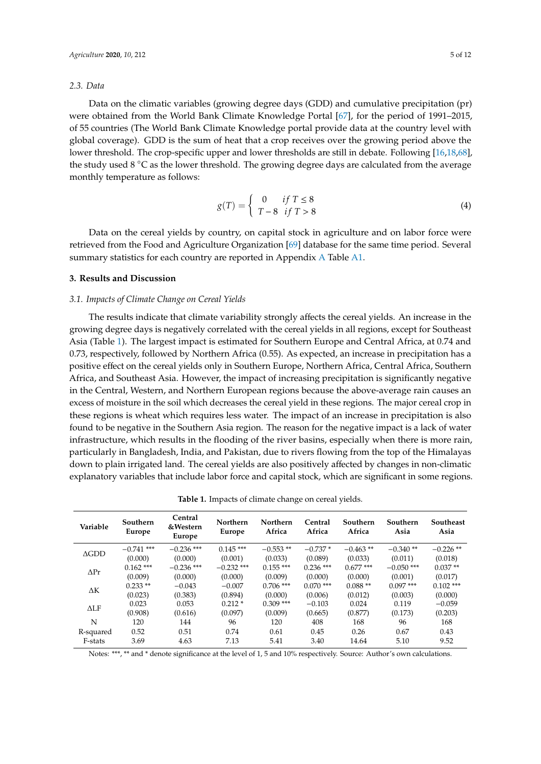#### *2.3. Data*

Data on the climatic variables (growing degree days (GDD) and cumulative precipitation (pr) were obtained from the World Bank Climate Knowledge Portal [\[67\]](#page-11-7), for the period of 1991–2015, of 55 countries (The World Bank Climate Knowledge portal provide data at the country level with global coverage). GDD is the sum of heat that a crop receives over the growing period above the lower threshold. The crop-specific upper and lower thresholds are still in debate. Following [\[16](#page-9-15)[,18](#page-9-0)[,68\]](#page-11-8), the study used  $8 \degree C$  as the lower threshold. The growing degree days are calculated from the average monthly temperature as follows:

$$
g(T) = \begin{cases} 0 & \text{if } T \le 8\\ T - 8 & \text{if } T > 8 \end{cases}
$$
 (4)

Data on the cereal yields by country, on capital stock in agriculture and on labor force were retrieved from the Food and Agriculture Organization [\[69\]](#page-11-9) database for the same time period. Several summary statistics for each country are reported in Appendix [A](#page-7-0) Table [A1.](#page-7-1)

#### <span id="page-4-0"></span>**3. Results and Discussion**

#### *3.1. Impacts of Climate Change on Cereal Yields*

The results indicate that climate variability strongly affects the cereal yields. An increase in the growing degree days is negatively correlated with the cereal yields in all regions, except for Southeast Asia (Table [1\)](#page-4-1). The largest impact is estimated for Southern Europe and Central Africa, at 0.74 and 0.73, respectively, followed by Northern Africa (0.55). As expected, an increase in precipitation has a positive effect on the cereal yields only in Southern Europe, Northern Africa, Central Africa, Southern Africa, and Southeast Asia. However, the impact of increasing precipitation is significantly negative in the Central, Western, and Northern European regions because the above-average rain causes an excess of moisture in the soil which decreases the cereal yield in these regions. The major cereal crop in these regions is wheat which requires less water. The impact of an increase in precipitation is also found to be negative in the Southern Asia region. The reason for the negative impact is a lack of water infrastructure, which results in the flooding of the river basins, especially when there is more rain, particularly in Bangladesh, India, and Pakistan, due to rivers flowing from the top of the Himalayas down to plain irrigated land. The cereal yields are also positively affected by changes in non-climatic explanatory variables that include labor force and capital stock, which are significant in some regions.

**Table 1.** Impacts of climate change on cereal yields.

<span id="page-4-1"></span>

| Variable        | Southern<br>Europe | Central<br>&Western<br>Europe | Northern<br>Europe | Northern<br>Africa | Central<br>Africa  | Southern<br>Africa | Southern<br>Asia | Southeast<br>Asia |
|-----------------|--------------------|-------------------------------|--------------------|--------------------|--------------------|--------------------|------------------|-------------------|
| $\triangle GDD$ | $-0.741$ ***       | $-0.236$ ***                  | $0.145$ ***        | $-0.553**$         | $-0.737*$          | $-0.463**$         | $-0.340**$       | $-0.226$ **       |
|                 | (0.000)            | (0.000)                       | (0.001)            | (0.033)            | (0.089)            | (0.033)            | (0.011)          | (0.018)           |
| $\Delta Pr$     | $0.162$ ***        | $-0.236$ ***                  | $-0.232$ ***       | $0.155$ ***        | $0.236$ ***        | $0.677***$         | $-0.050$ ***     | $0.037**$         |
|                 | (0.009)            | (0.000)                       | (0.000)            | (0.009)            | (0.000)            | (0.000)            | (0.001)          | (0.017)           |
|                 | $0.233**$          | $-0.043$                      | $-0.007$           | $0.706$ ***        | $0.070$ ***        | $0.088**$          | $0.097$ ***      | $0.102$ ***       |
| ΔΚ              | (0.023)            | (0.383)                       | (0.894)            | (0.000)            | (0.006)<br>(0.012) | (0.003)            | (0.000)          |                   |
| $\Delta$ LF     | 0.023              | 0.053                         | $0.212*$           | $0.309$ ***        | $-0.103$           | 0.024              | 0.119            | $-0.059$          |
|                 | (0.908)            | (0.616)                       | (0.097)            | (0.009)            | (0.665)            | (0.877)            | (0.173)          | (0.203)           |
| N               | 120                | 144                           | 96                 | 120                | 408                | 168                | 96               | 168               |
| R-squared       | 0.52               | 0.51                          | 0.74               | 0.61               | 0.45               | 0.26               | 0.67             | 0.43              |
| F-stats         | 3.69               | 4.63                          | 7.13               | 5.41               | 3.40               | 14.64              | 5.10             | 9.52              |

Notes: \*\*\*, \*\* and \* denote significance at the level of 1, 5 and 10% respectively. Source: Author's own calculations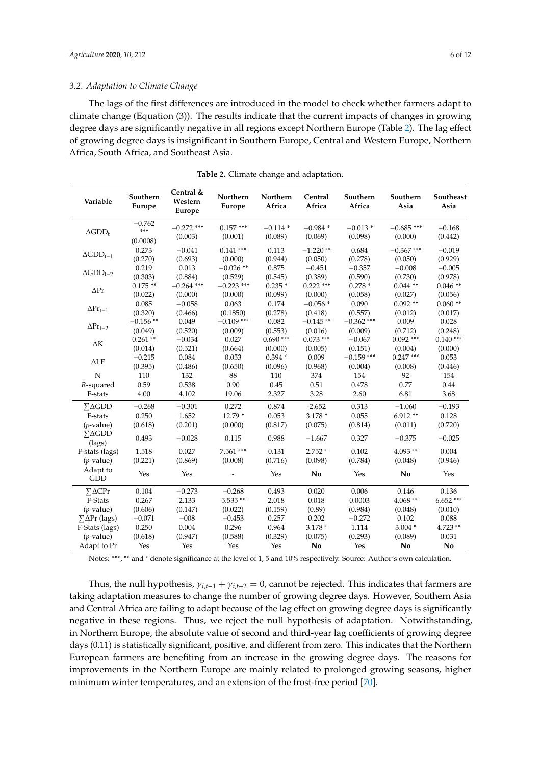#### *3.2. Adaptation to Climate Change*

The lags of the first differences are introduced in the model to check whether farmers adapt to climate change (Equation (3)). The results indicate that the current impacts of changes in growing degree days are significantly negative in all regions except Northern Europe (Table [2\)](#page-5-0). The lag effect of growing degree days is insignificant in Southern Europe, Central and Western Europe, Northern Africa, South Africa, and Southeast Asia.

<span id="page-5-0"></span>

| Variable                           | Southern<br>Europe          | Central &<br>Western<br>Europe | Northern<br><b>Europe</b> | Northern<br>Africa    | Central<br>Africa      | Southern<br>Africa      | Southern<br>Asia        | Southeast<br>Asia     |
|------------------------------------|-----------------------------|--------------------------------|---------------------------|-----------------------|------------------------|-------------------------|-------------------------|-----------------------|
| $\Delta GDD_t$                     | $-0.762$<br>***<br>(0.0008) | $-0.272$ ***<br>(0.003)        | $0.157***$<br>(0.001)     | $-0.114*$<br>(0.089)  | $-0.984*$<br>(0.069)   | $-0.013*$<br>(0.098)    | $-0.685$ ***<br>(0.000) | $-0.168$<br>(0.442)   |
| $\Delta GDD_{t-1}$                 | 0.273<br>(0.270)            | $-0.041$<br>(0.693)            | $0.141$ ***<br>(0.000)    | 0.113<br>(0.944)      | $-1.220$ **<br>(0.050) | 0.684<br>(0.278)        | $-0.367$ ***<br>(0.050) | $-0.019$<br>(0.929)   |
| $\Delta$ GDD <sub>t-2</sub>        | 0.219<br>(0.303)            | 0.013<br>(0.884)               | $-0.026$ **<br>(0.529)    | 0.875<br>(0.545)      | $-0.451$<br>(0.389)    | $-0.357$<br>(0.590)     | $-0.008$<br>(0.730)     | $-0.005$<br>(0.978)   |
| $\Delta Pr$                        | $0.175**$<br>(0.022)        | $-0.264$ ***<br>(0.000)        | $-0.223$ ***<br>(0.000)   | $0.235*$<br>(0.099)   | $0.222$ ***<br>(0.000) | $0.278*$<br>(0.058)     | $0.044**$<br>(0.027)    | $0.046**$<br>(0.056)  |
| $\Delta\mathrm{Pr}_{\mathrm{t}-1}$ | 0.085<br>(0.320)            | $-0.058$<br>(0.466)            | 0.063<br>(0.1850)         | 0.174<br>(0.278)      | $-0.056*$<br>(0.418)   | 0.090<br>(0.557)        | $0.092**$<br>(0.012)    | $0.060**$<br>(0.017)  |
| $\Delta\mathrm{Pr}_{\mathrm{t-2}}$ | $-0.156$ **<br>(0.049)      | 0.049<br>(0.520)               | $-0.109$ ***<br>(0.009)   | 0.082<br>(0.553)      | $-0.145**$<br>(0.016)  | $-0.362$ ***<br>(0.009) | 0.009<br>(0.712)        | 0.028<br>(0.248)      |
| $\Delta K$                         | $0.261**$<br>(0.014)        | $-0.034$<br>(0.521)            | 0.027<br>(0.664)          | $0.690***$<br>(0.000) | $0.073$ ***<br>(0.005) | $-0.067$<br>(0.151)     | $0.092$ ***<br>(0.004)  | $0.140***$<br>(0.000) |
| $\Delta$ LF                        | $-0.215$<br>(0.395)         | 0.084<br>(0.486)               | 0.053<br>(0.650)          | $0.394*$<br>(0.096)   | 0.009<br>(0.968)       | $-0.159$ ***<br>(0.004) | $0.247***$<br>(0.008)   | 0.053<br>(0.446)      |
| N                                  | 110                         | 132                            | 88                        | 110                   | 374                    | 154                     | 92                      | 154                   |
| R-squared                          | 0.59                        | 0.538                          | 0.90                      | 0.45                  | 0.51                   | 0.478                   | 0.77                    | 0.44                  |
| F-stats                            | 4.00                        | 4.102                          | 19.06                     | 2.327                 | 3.28                   | 2.60                    | 6.81                    | 3.68                  |
| $\Sigma\Delta GDD$                 | $-0.268$                    | $-0.301$                       | 0.272                     | 0.874                 | $-2.652$               | 0.313                   | $-1.060$                | $-0.193$              |
| F-stats                            | 0.250                       | 1.652                          | $12.79*$                  | 0.053                 | $3.178*$               | 0.055                   | $6.912**$               | 0.128                 |
| $(p$ -value)                       | (0.618)                     | (0.201)                        | (0.000)                   | (0.817)               | (0.075)                | (0.814)                 | (0.011)                 | (0.720)               |
| $\Sigma\Delta GDD$<br>(lags)       | 0.493                       | $-0.028$                       | 0.115                     | 0.988                 | $-1.667$               | 0.327                   | $-0.375$                | $-0.025$              |
| F-stats (lags)                     | 1.518                       | 0.027                          | 7.561 ***                 | 0.131                 | $2.752*$               | 0.102                   | $4.093**$               | 0.004                 |
| $(p$ -value)                       | (0.221)                     | (0.869)                        | (0.008)                   | (0.716)               | (0.098)                | (0.784)                 | (0.048)                 | (0.946)               |
| Adapt to<br><b>GDD</b>             | Yes                         | Yes                            |                           | Yes                   | No                     | Yes                     | No                      | Yes                   |
| $\Sigma \Delta C$ Pr               | 0.104                       | $-0.273$                       | $-0.268$                  | 0.493                 | 0.020                  | 0.006                   | 0.146                   | 0.136                 |
| F-Stats                            | 0.267                       | 2.133                          | 5.535**                   | 2.018                 | 0.018                  | 0.0003                  | 4.068**                 | $6.652***$            |
| $(p$ -value)                       | (0.606)                     | (0.147)                        | (0.022)                   | (0.159)               | (0.89)                 | (0.984)                 | (0.048)                 | (0.010)               |
| $\sum \Delta Pr$ (lags)            | $-0.071$                    | $-008$                         | $-0.453$                  | 0.257                 | 0.202                  | $-0.272$                | 0.102                   | 0.088                 |
| F-Stats (lags)                     | 0.250                       | 0.004                          | 0.296                     | 0.964                 | $3.178*$               | 1.114                   | $3.004*$                | 4.723 **              |
| $(p$ -value)                       | (0.618)                     | (0.947)                        | (0.588)                   | (0.329)               | (0.075)                | (0.293)                 | (0.089)                 | 0.031                 |
| Adapt to Pr                        | Yes                         | Yes                            | Yes                       | Yes                   | No                     | Yes                     | No                      | No                    |

**Table 2.** Climate change and adaptation.

Notes: \*\*\*, \*\* and \* denote significance at the level of 1, 5 and 10% respectively. Source: Author's own calculation.

Thus, the null hypothesis,  $\gamma_{i,t-1} + \gamma_{i,t-2} = 0$ , cannot be rejected. This indicates that farmers are taking adaptation measures to change the number of growing degree days. However, Southern Asia and Central Africa are failing to adapt because of the lag effect on growing degree days is significantly negative in these regions. Thus, we reject the null hypothesis of adaptation. Notwithstanding, in Northern Europe, the absolute value of second and third-year lag coefficients of growing degree days (0.11) is statistically significant, positive, and different from zero. This indicates that the Northern European farmers are benefiting from an increase in the growing degree days. The reasons for improvements in the Northern Europe are mainly related to prolonged growing seasons, higher minimum winter temperatures, and an extension of the frost-free period [\[70\]](#page-11-10).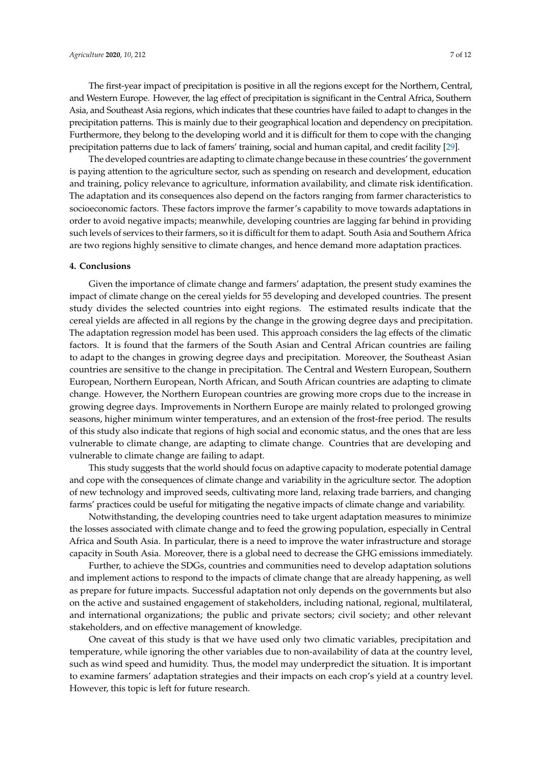The first-year impact of precipitation is positive in all the regions except for the Northern, Central, and Western Europe. However, the lag effect of precipitation is significant in the Central Africa, Southern Asia, and Southeast Asia regions, which indicates that these countries have failed to adapt to changes in the precipitation patterns. This is mainly due to their geographical location and dependency on precipitation. Furthermore, they belong to the developing world and it is difficult for them to cope with the changing precipitation patterns due to lack of famers' training, social and human capital, and credit facility [\[29\]](#page-9-7).

The developed countries are adapting to climate change because in these countries' the government is paying attention to the agriculture sector, such as spending on research and development, education and training, policy relevance to agriculture, information availability, and climate risk identification. The adaptation and its consequences also depend on the factors ranging from farmer characteristics to socioeconomic factors. These factors improve the farmer's capability to move towards adaptations in order to avoid negative impacts; meanwhile, developing countries are lagging far behind in providing such levels of services to their farmers, so it is difficult for them to adapt. South Asia and Southern Africa are two regions highly sensitive to climate changes, and hence demand more adaptation practices.

#### **4. Conclusions**

Given the importance of climate change and farmers' adaptation, the present study examines the impact of climate change on the cereal yields for 55 developing and developed countries. The present study divides the selected countries into eight regions. The estimated results indicate that the cereal yields are affected in all regions by the change in the growing degree days and precipitation. The adaptation regression model has been used. This approach considers the lag effects of the climatic factors. It is found that the farmers of the South Asian and Central African countries are failing to adapt to the changes in growing degree days and precipitation. Moreover, the Southeast Asian countries are sensitive to the change in precipitation. The Central and Western European, Southern European, Northern European, North African, and South African countries are adapting to climate change. However, the Northern European countries are growing more crops due to the increase in growing degree days. Improvements in Northern Europe are mainly related to prolonged growing seasons, higher minimum winter temperatures, and an extension of the frost-free period. The results of this study also indicate that regions of high social and economic status, and the ones that are less vulnerable to climate change, are adapting to climate change. Countries that are developing and vulnerable to climate change are failing to adapt.

This study suggests that the world should focus on adaptive capacity to moderate potential damage and cope with the consequences of climate change and variability in the agriculture sector. The adoption of new technology and improved seeds, cultivating more land, relaxing trade barriers, and changing farms' practices could be useful for mitigating the negative impacts of climate change and variability.

Notwithstanding, the developing countries need to take urgent adaptation measures to minimize the losses associated with climate change and to feed the growing population, especially in Central Africa and South Asia. In particular, there is a need to improve the water infrastructure and storage capacity in South Asia. Moreover, there is a global need to decrease the GHG emissions immediately.

Further, to achieve the SDGs, countries and communities need to develop adaptation solutions and implement actions to respond to the impacts of climate change that are already happening, as well as prepare for future impacts. Successful adaptation not only depends on the governments but also on the active and sustained engagement of stakeholders, including national, regional, multilateral, and international organizations; the public and private sectors; civil society; and other relevant stakeholders, and on effective management of knowledge.

One caveat of this study is that we have used only two climatic variables, precipitation and temperature, while ignoring the other variables due to non-availability of data at the country level, such as wind speed and humidity. Thus, the model may underpredict the situation. It is important to examine farmers' adaptation strategies and their impacts on each crop's yield at a country level. However, this topic is left for future research.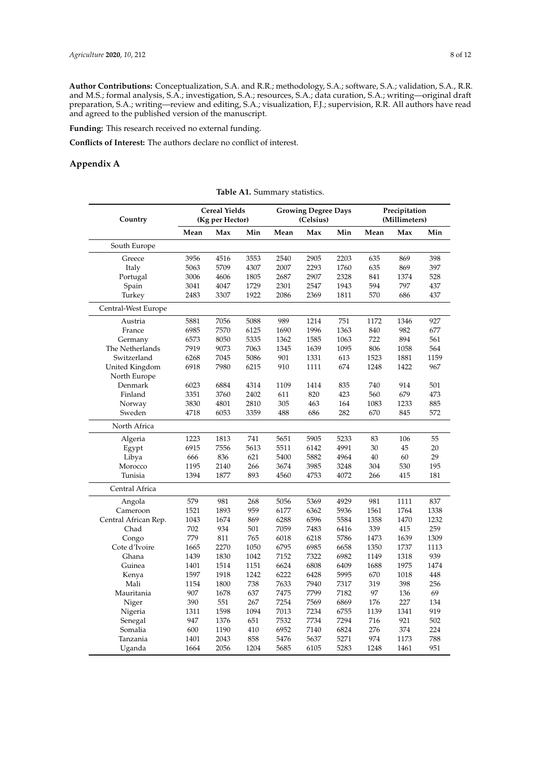**Author Contributions:** Conceptualization, S.A. and R.R.; methodology, S.A.; software, S.A.; validation, S.A., R.R. and M.S.; formal analysis, S.A.; investigation, S.A.; resources, S.A.; data curation, S.A.; writing—original draft preparation, S.A.; writing—review and editing, S.A.; visualization, F.J.; supervision, R.R. All authors have read and agreed to the published version of the manuscript.

**Funding:** This research received no external funding.

**Conflicts of Interest:** The authors declare no conflict of interest.

## <span id="page-7-1"></span><span id="page-7-0"></span>**Appendix A**

**Table A1.** Summary statistics.

| Country              | <b>Cereal Yields</b><br>(Kg per Hector) |      |      | <b>Growing Degree Days</b><br>(Celsius) |      |      | Precipitation<br>(Millimeters) |      |      |
|----------------------|-----------------------------------------|------|------|-----------------------------------------|------|------|--------------------------------|------|------|
|                      | Mean                                    | Max  | Min  | Mean                                    | Max  | Min  | Mean                           | Max  | Min  |
| South Europe         |                                         |      |      |                                         |      |      |                                |      |      |
| Greece               | 3956                                    | 4516 | 3553 | 2540                                    | 2905 | 2203 | 635                            | 869  | 398  |
| Italy                | 5063                                    | 5709 | 4307 | 2007                                    | 2293 | 1760 | 635                            | 869  | 397  |
| Portugal             | 3006                                    | 4606 | 1805 | 2687                                    | 2907 | 2328 | 841                            | 1374 | 528  |
| Spain                | 3041                                    | 4047 | 1729 | 2301                                    | 2547 | 1943 | 594                            | 797  | 437  |
| Turkey               | 2483                                    | 3307 | 1922 | 2086                                    | 2369 | 1811 | 570                            | 686  | 437  |
| Central-West Europe  |                                         |      |      |                                         |      |      |                                |      |      |
| Austria              | 5881                                    | 7056 | 5088 | 989                                     | 1214 | 751  | 1172                           | 1346 | 927  |
| France               | 6985                                    | 7570 | 6125 | 1690                                    | 1996 | 1363 | 840                            | 982  | 677  |
| Germany              | 6573                                    | 8050 | 5335 | 1362                                    | 1585 | 1063 | 722                            | 894  | 561  |
| The Netherlands      | 7919                                    | 9073 | 7063 | 1345                                    | 1639 | 1095 | 806                            | 1058 | 564  |
| Switzerland          | 6268                                    | 7045 | 5086 | 901                                     | 1331 | 613  | 1523                           | 1881 | 1159 |
| United Kingdom       | 6918                                    | 7980 | 6215 | 910                                     | 1111 | 674  | 1248                           | 1422 | 967  |
| North Europe         |                                         |      |      |                                         |      |      |                                |      |      |
| Denmark              | 6023                                    | 6884 | 4314 | 1109                                    | 1414 | 835  | 740                            | 914  | 501  |
| Finland              | 3351                                    | 3760 | 2402 | 611                                     | 820  | 423  | 560                            | 679  | 473  |
| Norway               | 3830                                    | 4801 | 2810 | 305                                     | 463  | 164  | 1083                           | 1233 | 885  |
| Sweden               | 4718                                    | 6053 | 3359 | 488                                     | 686  | 282  | 670                            | 845  | 572  |
| North Africa         |                                         |      |      |                                         |      |      |                                |      |      |
| Algeria              | 1223                                    | 1813 | 741  | 5651                                    | 5905 | 5233 | 83                             | 106  | 55   |
| Egypt                | 6915                                    | 7556 | 5613 | 5511                                    | 6142 | 4991 | 30                             | 45   | 20   |
| Libya                | 666                                     | 836  | 621  | 5400                                    | 5882 | 4964 | 40                             | 60   | 29   |
| Morocco              | 1195                                    | 2140 | 266  | 3674                                    | 3985 | 3248 | 304                            | 530  | 195  |
| Tunisia              | 1394                                    | 1877 | 893  | 4560                                    | 4753 | 4072 | 266                            | 415  | 181  |
| Central Africa       |                                         |      |      |                                         |      |      |                                |      |      |
| Angola               | 579                                     | 981  | 268  | 5056                                    | 5369 | 4929 | 981                            | 1111 | 837  |
| Cameroon             | 1521                                    | 1893 | 959  | 6177                                    | 6362 | 5936 | 1561                           | 1764 | 1338 |
| Central African Rep. | 1043                                    | 1674 | 869  | 6288                                    | 6596 | 5584 | 1358                           | 1470 | 1232 |
| Chad                 | 702                                     | 934  | 501  | 7059                                    | 7483 | 6416 | 339                            | 415  | 259  |
| Congo                | 779                                     | 811  | 765  | 6018                                    | 6218 | 5786 | 1473                           | 1639 | 1309 |
| Cote d'Ivoire        | 1665                                    | 2270 | 1050 | 6795                                    | 6985 | 6658 | 1350                           | 1737 | 1113 |
| Ghana                | 1439                                    | 1830 | 1042 | 7152                                    | 7322 | 6982 | 1149                           | 1318 | 939  |
| Guinea               | 1401                                    | 1514 | 1151 | 6624                                    | 6808 | 6409 | 1688                           | 1975 | 1474 |
| Kenya                | 1597                                    | 1918 | 1242 | 6222                                    | 6428 | 5995 | 670                            | 1018 | 448  |
| Mali                 | 1154                                    | 1800 | 738  | 7633                                    | 7940 | 7317 | 319                            | 398  | 256  |
| Mauritania           | 907                                     | 1678 | 637  | 7475                                    | 7799 | 7182 | 97                             | 136  | 69   |
| Niger                | 390                                     | 551  | 267  | 7254                                    | 7569 | 6869 | 176                            | 227  | 134  |
| Nigeria              | 1311                                    | 1598 | 1094 | 7013                                    | 7234 | 6755 | 1139                           | 1341 | 919  |
| Senegal              | 947                                     | 1376 | 651  | 7532                                    | 7734 | 7294 | 716                            | 921  | 502  |
| Somalia              | 600                                     | 1190 | 410  | 6952                                    | 7140 | 6824 | 276                            | 374  | 224  |
| Tanzania             | 1401                                    | 2043 | 858  | 5476                                    | 5637 | 5271 | 974                            | 1173 | 788  |
| Uganda               | 1664                                    | 2056 | 1204 | 5685                                    | 6105 | 5283 | 1248                           | 1461 | 951  |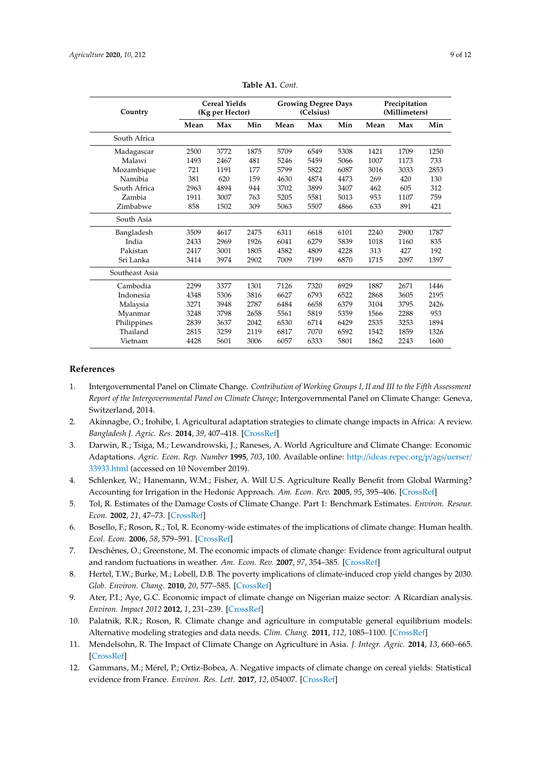| Country        | <b>Cereal Yields</b><br>(Kg per Hector) |      |      | <b>Growing Degree Days</b><br>(Celsius) |      |      | Precipitation<br>(Millimeters) |      |      |
|----------------|-----------------------------------------|------|------|-----------------------------------------|------|------|--------------------------------|------|------|
|                | Mean                                    | Max  | Min  | Mean                                    | Max  | Min  | Mean                           | Max  | Min  |
| South Africa   |                                         |      |      |                                         |      |      |                                |      |      |
| Madagascar     | 2500                                    | 3772 | 1875 | 5709                                    | 6549 | 5308 | 1421                           | 1709 | 1250 |
| Malawi         | 1493                                    | 2467 | 481  | 5246                                    | 5459 | 5066 | 1007                           | 1173 | 733  |
| Mozambique     | 721                                     | 1191 | 177  | 5799                                    | 5822 | 6087 | 3016                           | 3033 | 2853 |
| Namibia        | 381                                     | 620  | 159  | 4630                                    | 4874 | 4473 | 269                            | 420  | 130  |
| South Africa   | 2963                                    | 4894 | 944  | 3702                                    | 3899 | 3407 | 462                            | 605  | 312  |
| Zambia         | 1911                                    | 3007 | 763  | 5205                                    | 5581 | 5013 | 953                            | 1107 | 759  |
| Zimbabwe       | 858                                     | 1502 | 309  | 5063                                    | 5507 | 4866 | 633                            | 891  | 421  |
| South Asia     |                                         |      |      |                                         |      |      |                                |      |      |
| Bangladesh     | 3509                                    | 4617 | 2475 | 6311                                    | 6618 | 6101 | 2240                           | 2900 | 1787 |
| India          | 2433                                    | 2969 | 1926 | 6041                                    | 6279 | 5839 | 1018                           | 1160 | 835  |
| Pakistan       | 2417                                    | 3001 | 1805 | 4582                                    | 4809 | 4228 | 313                            | 427  | 192  |
| Sri Lanka      | 3414                                    | 3974 | 2902 | 7009                                    | 7199 | 6870 | 1715                           | 2097 | 1397 |
| Southeast Asia |                                         |      |      |                                         |      |      |                                |      |      |
| Cambodia       | 2299                                    | 3377 | 1301 | 7126                                    | 7320 | 6929 | 1887                           | 2671 | 1446 |
| Indonesia      | 4348                                    | 5306 | 3816 | 6627                                    | 6793 | 6522 | 2868                           | 3605 | 2195 |
| Malaysia       | 3271                                    | 3948 | 2787 | 6484                                    | 6658 | 6379 | 3104                           | 3795 | 2426 |
| Myanmar        | 3248                                    | 3798 | 2658 | 5561                                    | 5819 | 5359 | 1566                           | 2288 | 953  |
| Philippines    | 2839                                    | 3637 | 2042 | 6530                                    | 6714 | 6429 | 2535                           | 3253 | 1894 |
| Thailand       | 2815                                    | 3259 | 2119 | 6817                                    | 7070 | 6592 | 1542                           | 1859 | 1326 |
| Vietnam        | 4428                                    | 5601 | 3006 | 6057                                    | 6333 | 5801 | 1862                           | 2243 | 1600 |

**Table A1.** *Cont.*

#### **References**

- <span id="page-8-0"></span>1. Intergovernmental Panel on Climate Change. *Contribution of Working Groups I, II and III to the Fifth Assessment Report of the Intergovernmental Panel on Climate Change*; Intergovernmental Panel on Climate Change: Geneva, Switzerland, 2014.
- <span id="page-8-1"></span>2. Akinnagbe, O.; Irohibe, I. Agricultural adaptation strategies to climate change impacts in Africa: A review. *Bangladesh J. Agric. Res.* **2014**, *39*, 407–418. [\[CrossRef\]](http://dx.doi.org/10.3329/bjar.v39i3.21984)
- <span id="page-8-2"></span>3. Darwin, R.; Tsiga, M.; Lewandrowski, J.; Raneses, A. World Agriculture and Climate Change: Economic Adaptations. *Agric. Econ. Rep. Number* **1995**, *703*, 100. Available online: http://[ideas.repec.org](http://ideas.repec.org/p/ags/uerser/33933.html)/p/ags/uerser/ [33933.html](http://ideas.repec.org/p/ags/uerser/33933.html) (accessed on 10 November 2019).
- 4. Schlenker, W.; Hanemann, W.M.; Fisher, A. Will U.S. Agriculture Really Benefit from Global Warming? Accounting for Irrigation in the Hedonic Approach. *Am. Econ. Rev.* **2005**, *95*, 395–406. [\[CrossRef\]](http://dx.doi.org/10.1257/0002828053828455)
- 5. Tol, R. Estimates of the Damage Costs of Climate Change. Part 1: Benchmark Estimates. *Environ. Resour. Econ.* **2002**, *21*, 47–73. [\[CrossRef\]](http://dx.doi.org/10.1023/A:1014500930521)
- 6. Bosello, F.; Roson, R.; Tol, R. Economy-wide estimates of the implications of climate change: Human health. *Ecol. Econ.* **2006**, *58*, 579–591. [\[CrossRef\]](http://dx.doi.org/10.1016/j.ecolecon.2005.07.032)
- 7. Deschênes, O.; Greenstone, M. The economic impacts of climate change: Evidence from agricultural output and random fuctuations in weather. *Am. Econ. Rev.* **2007**, *97*, 354–385. [\[CrossRef\]](http://dx.doi.org/10.1257/aer.97.1.354)
- 8. Hertel, T.W.; Burke, M.; Lobell, D.B. The poverty implications of climate-induced crop yield changes by 2030. *Glob. Environ. Chang.* **2010**, *20*, 577–585. [\[CrossRef\]](http://dx.doi.org/10.1016/j.gloenvcha.2010.07.001)
- 9. Ater, P.I.; Aye, G.C. Economic impact of climate change on Nigerian maize sector: A Ricardian analysis. *Environ. Impact 2012* **2012**, *1*, 231–239. [\[CrossRef\]](http://dx.doi.org/10.2495/EID120211)
- 10. Palatnik, R.R.; Roson, R. Climate change and agriculture in computable general equilibrium models: Alternative modeling strategies and data needs. *Clim. Chang.* **2011**, *112*, 1085–1100. [\[CrossRef\]](http://dx.doi.org/10.1007/s10584-011-0356-6)
- 11. Mendelsohn, R. The Impact of Climate Change on Agriculture in Asia. *J. Integr. Agric.* **2014**, *13*, 660–665. [\[CrossRef\]](http://dx.doi.org/10.1016/S2095-3119(13)60701-7)
- 12. Gammans, M.; Mérel, P.; Ortiz-Bobea, A. Negative impacts of climate change on cereal yields: Statistical evidence from France. *Environ. Res. Lett.* **2017**, *12*, 054007. [\[CrossRef\]](http://dx.doi.org/10.1088/1748-9326/aa6b0c)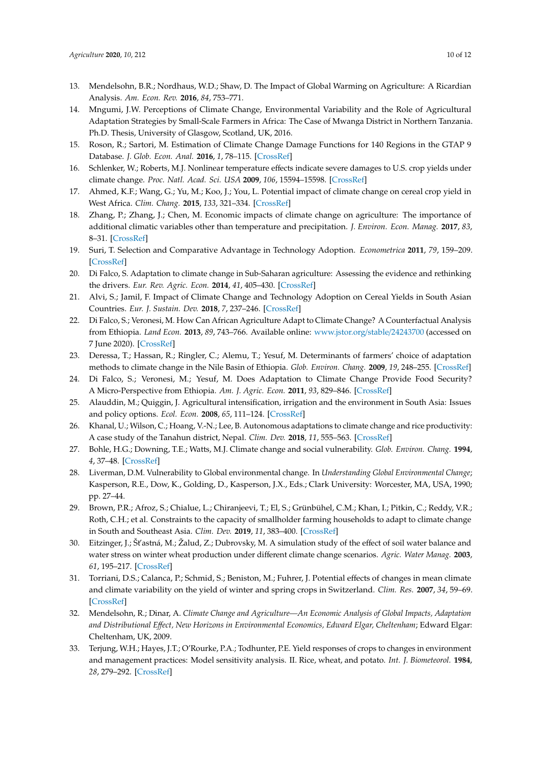- 13. Mendelsohn, B.R.; Nordhaus, W.D.; Shaw, D. The Impact of Global Warming on Agriculture: A Ricardian Analysis. *Am. Econ. Rev.* **2016**, *84*, 753–771.
- 14. Mngumi, J.W. Perceptions of Climate Change, Environmental Variability and the Role of Agricultural Adaptation Strategies by Small-Scale Farmers in Africa: The Case of Mwanga District in Northern Tanzania. Ph.D. Thesis, University of Glasgow, Scotland, UK, 2016.
- 15. Roson, R.; Sartori, M. Estimation of Climate Change Damage Functions for 140 Regions in the GTAP 9 Database. *J. Glob. Econ. Anal.* **2016**, *1*, 78–115. [\[CrossRef\]](http://dx.doi.org/10.21642/JGEA.010202AF)
- <span id="page-9-15"></span>16. Schlenker, W.; Roberts, M.J. Nonlinear temperature effects indicate severe damages to U.S. crop yields under climate change. *Proc. Natl. Acad. Sci. USA* **2009**, *106*, 15594–15598. [\[CrossRef\]](http://dx.doi.org/10.1073/pnas.0906865106)
- 17. Ahmed, K.F.; Wang, G.; Yu, M.; Koo, J.; You, L. Potential impact of climate change on cereal crop yield in West Africa. *Clim. Chang.* **2015**, *133*, 321–334. [\[CrossRef\]](http://dx.doi.org/10.1007/s10584-015-1462-7)
- <span id="page-9-0"></span>18. Zhang, P.; Zhang, J.; Chen, M. Economic impacts of climate change on agriculture: The importance of additional climatic variables other than temperature and precipitation. *J. Environ. Econ. Manag.* **2017**, *83*, 8–31. [\[CrossRef\]](http://dx.doi.org/10.1016/j.jeem.2016.12.001)
- <span id="page-9-1"></span>19. Suri, T. Selection and Comparative Advantage in Technology Adoption. *Econometrica* **2011**, *79*, 159–209. [\[CrossRef\]](http://dx.doi.org/10.3982/ECTA7749)
- <span id="page-9-12"></span>20. Di Falco, S. Adaptation to climate change in Sub-Saharan agriculture: Assessing the evidence and rethinking the drivers. *Eur. Rev. Agric. Econ.* **2014**, *41*, 405–430. [\[CrossRef\]](http://dx.doi.org/10.1093/erae/jbu014)
- <span id="page-9-2"></span>21. Alvi, S.; Jamil, F. Impact of Climate Change and Technology Adoption on Cereal Yields in South Asian Countries. *Eur. J. Sustain. Dev.* **2018**, *7*, 237–246. [\[CrossRef\]](http://dx.doi.org/10.14207/ejsd.2018.v7n3p237)
- <span id="page-9-3"></span>22. Di Falco, S.; Veronesi, M. How Can African Agriculture Adapt to Climate Change? A Counterfactual Analysis from Ethiopia. *Land Econ.* **2013**, *89*, 743–766. Available online: [www.jstor.org](www.jstor.org/stable/24243700)/stable/24243700 (accessed on 7 June 2020). [\[CrossRef\]](http://dx.doi.org/10.2139/ssrn.2030220)
- <span id="page-9-4"></span>23. Deressa, T.; Hassan, R.; Ringler, C.; Alemu, T.; Yesuf, M. Determinants of farmers' choice of adaptation methods to climate change in the Nile Basin of Ethiopia. *Glob. Environ. Chang.* **2009**, *19*, 248–255. [\[CrossRef\]](http://dx.doi.org/10.1016/j.gloenvcha.2009.01.002)
- <span id="page-9-13"></span>24. Di Falco, S.; Veronesi, M.; Yesuf, M. Does Adaptation to Climate Change Provide Food Security? A Micro-Perspective from Ethiopia. *Am. J. Agric. Econ.* **2011**, *93*, 829–846. [\[CrossRef\]](http://dx.doi.org/10.1093/ajae/aar006)
- 25. Alauddin, M.; Quiggin, J. Agricultural intensification, irrigation and the environment in South Asia: Issues and policy options. *Ecol. Econ.* **2008**, *65*, 111–124. [\[CrossRef\]](http://dx.doi.org/10.1016/j.ecolecon.2007.06.004)
- <span id="page-9-5"></span>26. Khanal, U.; Wilson, C.; Hoang, V.-N.; Lee, B. Autonomous adaptations to climate change and rice productivity: A case study of the Tanahun district, Nepal. *Clim. Dev.* **2018**, *11*, 555–563. [\[CrossRef\]](http://dx.doi.org/10.1080/17565529.2018.1469965)
- <span id="page-9-6"></span>27. Bohle, H.G.; Downing, T.E.; Watts, M.J. Climate change and social vulnerability. *Glob. Environ. Chang.* **1994**, *4*, 37–48. [\[CrossRef\]](http://dx.doi.org/10.1016/0959-3780(94)90020-5)
- <span id="page-9-14"></span>28. Liverman, D.M. Vulnerability to Global environmental change. In *Understanding Global Environmental Change*; Kasperson, R.E., Dow, K., Golding, D., Kasperson, J.X., Eds.; Clark University: Worcester, MA, USA, 1990; pp. 27–44.
- <span id="page-9-7"></span>29. Brown, P.R.; Afroz, S.; Chialue, L.; Chiranjeevi, T.; El, S.; Grünbühel, C.M.; Khan, I.; Pitkin, C.; Reddy, V.R.; Roth, C.H.; et al. Constraints to the capacity of smallholder farming households to adapt to climate change in South and Southeast Asia. *Clim. Dev.* **2019**, *11*, 383–400. [\[CrossRef\]](http://dx.doi.org/10.1080/17565529.2018.1442798)
- <span id="page-9-8"></span>30. Eitzinger, J.; Št'astná, M.; Žalud, Z.; Dubrovsky, M. A simulation study of the effect of soil water balance and water stress on winter wheat production under different climate change scenarios. *Agric. Water Manag.* **2003**, *61*, 195–217. [\[CrossRef\]](http://dx.doi.org/10.1016/S0378-3774(03)00024-6)
- <span id="page-9-9"></span>31. Torriani, D.S.; Calanca, P.; Schmid, S.; Beniston, M.; Fuhrer, J. Potential effects of changes in mean climate and climate variability on the yield of winter and spring crops in Switzerland. *Clim. Res.* **2007**, *34*, 59–69. [\[CrossRef\]](http://dx.doi.org/10.3354/cr034059)
- <span id="page-9-10"></span>32. Mendelsohn, R.; Dinar, A. *Climate Change and Agriculture—An Economic Analysis of Global Impacts, Adaptation and Distributional E*ff*ect, New Horizons in Environmental Economics, Edward Elgar, Cheltenham*; Edward Elgar: Cheltenham, UK, 2009.
- <span id="page-9-11"></span>33. Terjung, W.H.; Hayes, J.T.; O'Rourke, P.A.; Todhunter, P.E. Yield responses of crops to changes in environment and management practices: Model sensitivity analysis. II. Rice, wheat, and potato. *Int. J. Biometeorol.* **1984**, *28*, 279–292. [\[CrossRef\]](http://dx.doi.org/10.1007/BF02188555)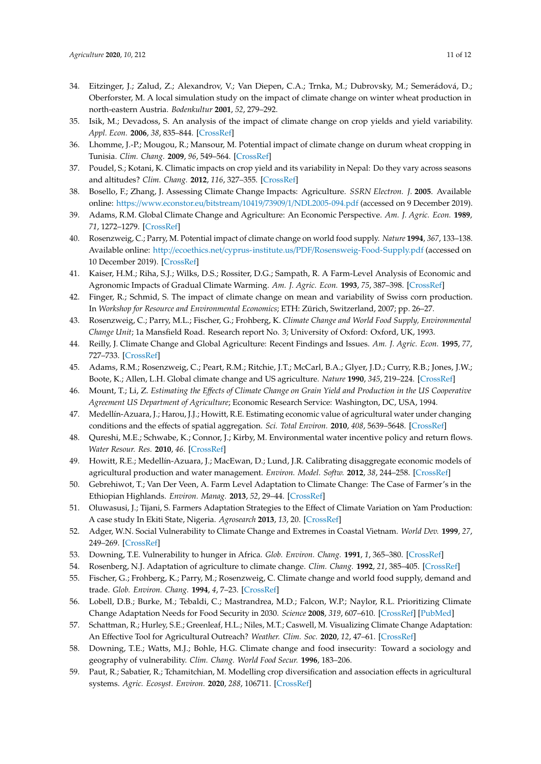- 34. Eitzinger, J.; Zalud, Z.; Alexandrov, V.; Van Diepen, C.A.; Trnka, M.; Dubrovsky, M.; Semerádová, D.; Oberforster, M. A local simulation study on the impact of climate change on winter wheat production in north-eastern Austria. *Bodenkultur* **2001**, *52*, 279–292.
- 35. Isik, M.; Devadoss, S. An analysis of the impact of climate change on crop yields and yield variability. *Appl. Econ.* **2006**, *38*, 835–844. [\[CrossRef\]](http://dx.doi.org/10.1080/00036840500193682)
- 36. Lhomme, J.-P.; Mougou, R.; Mansour, M. Potential impact of climate change on durum wheat cropping in Tunisia. *Clim. Chang.* **2009**, *96*, 549–564. [\[CrossRef\]](http://dx.doi.org/10.1007/s10584-009-9571-9)
- <span id="page-10-0"></span>37. Poudel, S.; Kotani, K. Climatic impacts on crop yield and its variability in Nepal: Do they vary across seasons and altitudes? *Clim. Chang.* **2012**, *116*, 327–355. [\[CrossRef\]](http://dx.doi.org/10.1007/s10584-012-0491-8)
- <span id="page-10-1"></span>38. Bosello, F.; Zhang, J. Assessing Climate Change Impacts: Agriculture. *SSRN Electron. J.* **2005**. Available online: https://www.econstor.eu/bitstream/10419/73909/1/[NDL2005-094.pdf](https://www.econstor.eu/bitstream/10419/73909/1/NDL2005-094.pdf) (accessed on 9 December 2019).
- <span id="page-10-2"></span>39. Adams, R.M. Global Climate Change and Agriculture: An Economic Perspective. *Am. J. Agric. Econ.* **1989**, *71*, 1272–1279. [\[CrossRef\]](http://dx.doi.org/10.2307/1243120)
- <span id="page-10-3"></span>40. Rosenzweig, C.; Parry, M. Potential impact of climate change on world food supply. *Nature* **1994**, *367*, 133–138. Available online: http://ecoethics.net/cyprus-institute.us/PDF/[Rosensweig-Food-Supply.pdf](http://ecoethics.net/cyprus-institute.us/PDF/Rosensweig-Food-Supply.pdf) (accessed on 10 December 2019). [\[CrossRef\]](http://dx.doi.org/10.1038/367133a0)
- <span id="page-10-4"></span>41. Kaiser, H.M.; Riha, S.J.; Wilks, D.S.; Rossiter, D.G.; Sampath, R. A Farm-Level Analysis of Economic and Agronomic Impacts of Gradual Climate Warming. *Am. J. Agric. Econ.* **1993**, *75*, 387–398. [\[CrossRef\]](http://dx.doi.org/10.2307/1242923)
- <span id="page-10-5"></span>42. Finger, R.; Schmid, S. The impact of climate change on mean and variability of Swiss corn production. In *Workshop for Resource and Environmental Economics*; ETH: Zürich, Switzerland, 2007; pp. 26–27.
- <span id="page-10-6"></span>43. Rosenzweig, C.; Parry, M.L.; Fischer, G.; Frohberg, K. *Climate Change and World Food Supply, Environmental Change Unit*; 1a Mansfield Road. Research report No. 3; University of Oxford: Oxford, UK, 1993.
- <span id="page-10-7"></span>44. Reilly, J. Climate Change and Global Agriculture: Recent Findings and Issues. *Am. J. Agric. Econ.* **1995**, *77*, 727–733. [\[CrossRef\]](http://dx.doi.org/10.2307/1243242)
- <span id="page-10-8"></span>45. Adams, R.M.; Rosenzweig, C.; Peart, R.M.; Ritchie, J.T.; McCarl, B.A.; Glyer, J.D.; Curry, R.B.; Jones, J.W.; Boote, K.; Allen, L.H. Global climate change and US agriculture. *Nature* **1990**, *345*, 219–224. [\[CrossRef\]](http://dx.doi.org/10.1038/345219a0)
- <span id="page-10-9"></span>46. Mount, T.; Li, Z. *Estimating the E*ff*ects of Climate Change on Grain Yield and Production in the US Cooperative Agreement US Department of Agriculture*; Economic Research Service: Washington, DC, USA, 1994.
- <span id="page-10-10"></span>47. Medellín-Azuara, J.; Harou, J.J.; Howitt, R.E. Estimating economic value of agricultural water under changing conditions and the effects of spatial aggregation. *Sci. Total Environ.* **2010**, *408*, 5639–5648. [\[CrossRef\]](http://dx.doi.org/10.1016/j.scitotenv.2009.08.013)
- <span id="page-10-11"></span>48. Qureshi, M.E.; Schwabe, K.; Connor, J.; Kirby, M. Environmental water incentive policy and return flows. *Water Resour. Res.* **2010**, *46*. [\[CrossRef\]](http://dx.doi.org/10.1029/2008WR007445)
- <span id="page-10-12"></span>49. Howitt, R.E.; Medellín-Azuara, J.; MacEwan, D.; Lund, J.R. Calibrating disaggregate economic models of agricultural production and water management. *Environ. Model. Softw.* **2012**, *38*, 244–258. [\[CrossRef\]](http://dx.doi.org/10.1016/j.envsoft.2012.06.013)
- <span id="page-10-13"></span>50. Gebrehiwot, T.; Van Der Veen, A. Farm Level Adaptation to Climate Change: The Case of Farmer's in the Ethiopian Highlands. *Environ. Manag.* **2013**, *52*, 29–44. [\[CrossRef\]](http://dx.doi.org/10.1007/s00267-013-0039-3)
- <span id="page-10-14"></span>51. Oluwasusi, J.; Tijani, S. Farmers Adaptation Strategies to the Effect of Climate Variation on Yam Production: A case study In Ekiti State, Nigeria. *Agrosearch* **2013**, *13*, 20. [\[CrossRef\]](http://dx.doi.org/10.4314/agrosh.v13i2.3)
- <span id="page-10-15"></span>52. Adger, W.N. Social Vulnerability to Climate Change and Extremes in Coastal Vietnam. *World Dev.* **1999**, *27*, 249–269. [\[CrossRef\]](http://dx.doi.org/10.1016/S0305-750X(98)00136-3)
- 53. Downing, T.E. Vulnerability to hunger in Africa. *Glob. Environ. Chang.* **1991**, *1*, 365–380. [\[CrossRef\]](http://dx.doi.org/10.1016/0959-3780(91)90003-C)
- <span id="page-10-19"></span>54. Rosenberg, N.J. Adaptation of agriculture to climate change. *Clim. Chang.* **1992**, *21*, 385–405. [\[CrossRef\]](http://dx.doi.org/10.1007/BF00141378)
- 55. Fischer, G.; Frohberg, K.; Parry, M.; Rosenzweig, C. Climate change and world food supply, demand and trade. *Glob. Environ. Chang.* **1994**, *4*, 7–23. [\[CrossRef\]](http://dx.doi.org/10.1016/0959-3780(94)90018-3)
- <span id="page-10-16"></span>56. Lobell, D.B.; Burke, M.; Tebaldi, C.; Mastrandrea, M.D.; Falcon, W.P.; Naylor, R.L. Prioritizing Climate Change Adaptation Needs for Food Security in 2030. *Science* **2008**, *319*, 607–610. [\[CrossRef\]](http://dx.doi.org/10.1126/science.1152339) [\[PubMed\]](http://www.ncbi.nlm.nih.gov/pubmed/18239122)
- <span id="page-10-17"></span>57. Schattman, R.; Hurley, S.E.; Greenleaf, H.L.; Niles, M.T.; Caswell, M. Visualizing Climate Change Adaptation: An Effective Tool for Agricultural Outreach? *Weather. Clim. Soc.* **2020**, *12*, 47–61. [\[CrossRef\]](http://dx.doi.org/10.1175/WCAS-D-19-0049.1)
- <span id="page-10-18"></span>58. Downing, T.E.; Watts, M.J.; Bohle, H.G. Climate change and food insecurity: Toward a sociology and geography of vulnerability. *Clim. Chang. World Food Secur.* **1996**, 183–206.
- <span id="page-10-20"></span>59. Paut, R.; Sabatier, R.; Tchamitchian, M. Modelling crop diversification and association effects in agricultural systems. *Agric. Ecosyst. Environ.* **2020**, *288*, 106711. [\[CrossRef\]](http://dx.doi.org/10.1016/j.agee.2019.106711)